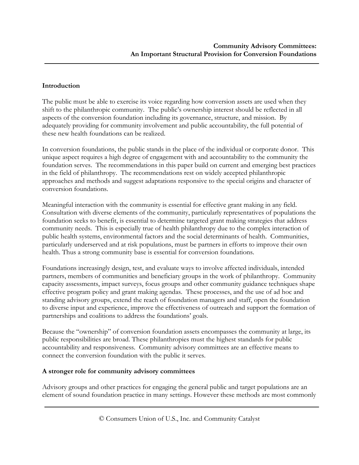#### **Introduction**

The public must be able to exercise its voice regarding how conversion assets are used when they shift to the philanthropic community. The public's ownership interest should be reflected in all aspects of the conversion foundation including its governance, structure, and mission. By adequately providing for community involvement and public accountability, the full potential of these new health foundations can be realized.

In conversion foundations, the public stands in the place of the individual or corporate donor. This unique aspect requires a high degree of engagement with and accountability to the community the foundation serves. The recommendations in this paper build on current and emerging best practices in the field of philanthropy. The recommendations rest on widely accepted philanthropic approaches and methods and suggest adaptations responsive to the special origins and character of conversion foundations.

Meaningful interaction with the community is essential for effective grant making in any field. Consultation with diverse elements of the community, particularly representatives of populations the foundation seeks to benefit, is essential to determine targeted grant making strategies that address community needs. This is especially true of health philanthropy due to the complex interaction of public health systems, environmental factors and the social determinants of health. Communities, particularly underserved and at risk populations, must be partners in efforts to improve their own health. Thus a strong community base is essential for conversion foundations.

Foundations increasingly design, test, and evaluate ways to involve affected individuals, intended partners, members of communities and beneficiary groups in the work of philanthropy. Community capacity assessments, impact surveys, focus groups and other community guidance techniques shape effective program policy and grant making agendas. These processes, and the use of ad hoc and standing advisory groups, extend the reach of foundation managers and staff, open the foundation to diverse input and experience, improve the effectiveness of outreach and support the formation of partnerships and coalitions to address the foundations' goals.

Because the "ownership" of conversion foundation assets encompasses the community at large, its public responsibilities are broad. These philanthropies must the highest standards for public accountability and responsiveness. Community advisory committees are an effective means to connect the conversion foundation with the public it serves.

#### **A stronger role for community advisory committees**

Advisory groups and other practices for engaging the general public and target populations are an element of sound foundation practice in many settings. However these methods are most commonly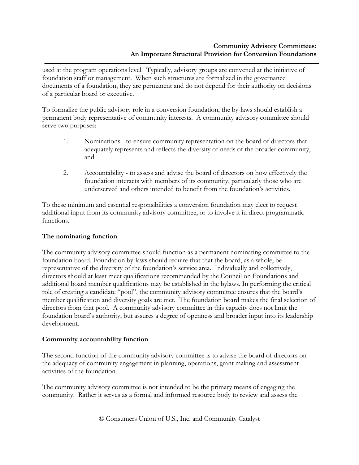used at the program operations level. Typically, advisory groups are convened at the initiative of foundation staff or management. When such structures are formalized in the governance documents of a foundation, they are permanent and do not depend for their authority on decisions of a particular board or executive.

To formalize the public advisory role in a conversion foundation, the by-laws should establish a permanent body representative of community interests. A community advisory committee should serve two purposes:

- 1. Nominations to ensure community representation on the board of directors that adequately represents and reflects the diversity of needs of the broader community, and
- 2. Accountability to assess and advise the board of directors on how effectively the foundation interacts with members of its community, particularly those who are underserved and others intended to benefit from the foundation's activities.

To these minimum and essential responsibilities a conversion foundation may elect to request additional input from its community advisory committee, or to involve it in direct programmatic functions.

# **The nominating function**

The community advisory committee should function as a permanent nominating committee to the foundation board. Foundation by-laws should require that that the board, as a whole, be representative of the diversity of the foundation's service area. Individually and collectively, directors should at least meet qualifications recommended by the Council on Foundations and additional board member qualifications may be established in the bylaws. In performing the critical role of creating a candidate "pool", the community advisory committee ensures that the board's member qualification and diversity goals are met. The foundation board makes the final selection of directors from that pool. A community advisory committee in this capacity does not limit the foundation board's authority, but assures a degree of openness and broader input into its leadership development.

## **Community accountability function**

The second function of the community advisory committee is to advise the board of directors on the adequacy of community engagement in planning, operations, grant making and assessment activities of the foundation.

The community advisory committee is not intended to  $\underline{be}$  the primary means of engaging the community. Rather it serves as a formal and informed resource body to review and assess the